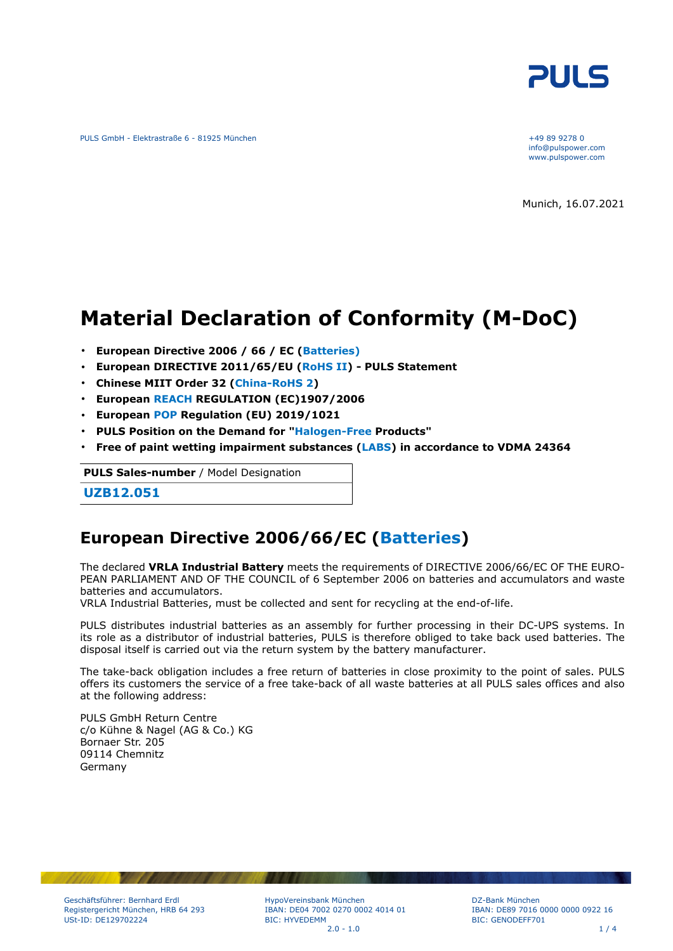

PULS GmbH - Elektrastraße 6 - 81925 München +49 89 9278 0

info@pulspower.com www.pulspower.com

Munich, 16.07.2021

# **Material Declaration of Conformity (M-DoC)**

- **European Directive 2006 / 66 / EC (Batteries)**
- **European DIRECTIVE 2011/65/EU (RoHS II) PULS Statement**
- **Chinese MIIT Order 32 (China-RoHS 2)**
- **European REACH REGULATION (EC)1907/2006**
- **European POP Regulation (EU) 2019/1021**
- **PULS Position on the Demand for "Halogen-Free Products"**
- **Free of paint wetting impairment substances (LABS) in accordance to VDMA 24364**

**PULS Sales-number** / Model Designation

**UZB12.051**

### **European Directive 2006/66/EC (Batteries)**

The declared **VRLA Industrial Battery** meets the requirements of DIRECTIVE 2006/66/EC OF THE EURO-PEAN PARLIAMENT AND OF THE COUNCIL of 6 September 2006 on batteries and accumulators and waste batteries and accumulators.

VRLA Industrial Batteries, must be collected and sent for recycling at the end-of-life.

PULS distributes industrial batteries as an assembly for further processing in their DC-UPS systems. In its role as a distributor of industrial batteries, PULS is therefore obliged to take back used batteries. The disposal itself is carried out via the return system by the battery manufacturer.

The take-back obligation includes a free return of batteries in close proximity to the point of sales. PULS offers its customers the service of a free take-back of all waste batteries at all PULS sales offices and also at the following address:

PULS GmbH Return Centre c/o Kühne & Nagel (AG & Co.) KG Bornaer Str. 205 09114 Chemnitz Germany

HypoVereinsbank München IBAN: DE04 7002 0270 0002 4014 01 BIC: HYVEDEMM  $2.0 - 1.0$  1 / 4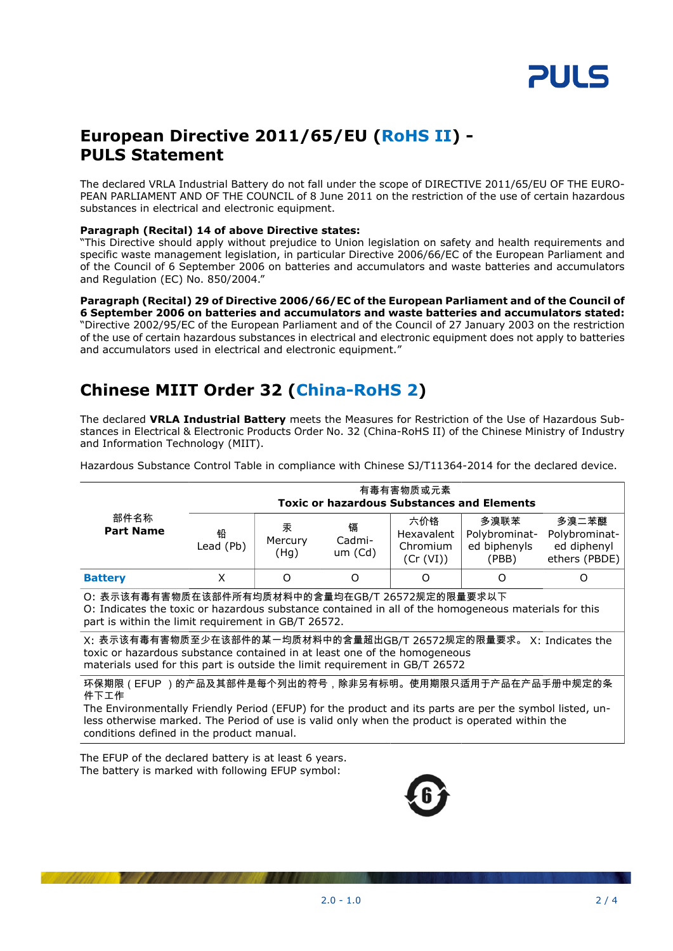

## **European Directive 2011/65/EU (RoHS II) - PULS Statement**

The declared VRLA Industrial Battery do not fall under the scope of DIRECTIVE 2011/65/EU OF THE EURO-PEAN PARLIAMENT AND OF THE COUNCIL of 8 June 2011 on the restriction of the use of certain hazardous substances in electrical and electronic equipment.

#### **Paragraph (Recital) 14 of above Directive states:**

"This Directive should apply without prejudice to Union legislation on safety and health requirements and specific waste management legislation, in particular Directive 2006/66/EC of the European Parliament and of the Council of 6 September 2006 on batteries and accumulators and waste batteries and accumulators and Regulation (EC) No. 850/2004."

#### **Paragraph (Recital) 29 of Directive 2006/66/EC of the European Parliament and of the Council of 6 September 2006 on batteries and accumulators and waste batteries and accumulators stated:** "Directive 2002/95/EC of the European Parliament and of the Council of 27 January 2003 on the restriction of the use of certain hazardous substances in electrical and electronic equipment does not apply to batteries and accumulators used in electrical and electronic equipment."

# **Chinese MIIT Order 32 (China-RoHS 2)**

The declared **VRLA Industrial Battery** meets the Measures for Restriction of the Use of Hazardous Substances in Electrical & Electronic Products Order No. 32 (China-RoHS II) of the Chinese Ministry of Industry and Information Technology (MIIT).

Hazardous Substance Control Table in compliance with Chinese SJ/T11364-2014 for the declared device.

|                                                                                                                                                                                                                                                                                                                          | 有毒有害物质或元素<br><b>Toxic or hazardous Substances and Elements</b> |                      |                        |                                            |                                                |                                                        |  |
|--------------------------------------------------------------------------------------------------------------------------------------------------------------------------------------------------------------------------------------------------------------------------------------------------------------------------|----------------------------------------------------------------|----------------------|------------------------|--------------------------------------------|------------------------------------------------|--------------------------------------------------------|--|
| 部件名称<br><b>Part Name</b>                                                                                                                                                                                                                                                                                                 | 铅<br>Lead (Pb)                                                 | 汞<br>Mercury<br>(Hg) | 镉<br>Cadmi-<br>um (Cd) | 六价铬<br>Hexavalent<br>Chromium<br>(Cr (VI)) | 多溴联苯<br>Polybrominat-<br>ed biphenyls<br>(PBB) | 多溴二苯醚<br>Polybrominat-<br>ed diphenyl<br>ethers (PBDE) |  |
| <b>Battery</b>                                                                                                                                                                                                                                                                                                           | X                                                              | O                    | O                      | O                                          | $\mathcal{L}$                                  | Ω                                                      |  |
| O: 表示该有毒有害物质在该部件所有均质材料中的含量均在GB/T 26572规定的限量要求以下<br>O: Indicates the toxic or hazardous substance contained in all of the homogeneous materials for this<br>part is within the limit requirement in GB/T 26572.                                                                                                           |                                                                |                      |                        |                                            |                                                |                                                        |  |
| X: 表示该有毒有害物质至少在该部件的某一均质材料中的含量超出GB/T_26572规定的限量要求。 X: Indicates the<br>toxic or hazardous substance contained in at least one of the homogeneous<br>materials used for this part is outside the limit requirement in GB/T 26572                                                                                           |                                                                |                      |                        |                                            |                                                |                                                        |  |
| 环保期限(EFUP )的产品及其部件是每个列出的符号,除非另有标明。使用期限只适用于产品在产品手册中规定的条<br>件下工作<br>The Environmentally Friendly Period (EFUP) for the product and its parts are per the symbol listed, un-<br>less otherwise marked. The Period of use is valid only when the product is operated within the<br>conditions defined in the product manual. |                                                                |                      |                        |                                            |                                                |                                                        |  |

The EFUP of the declared battery is at least 6 years. The battery is marked with following EFUP symbol:

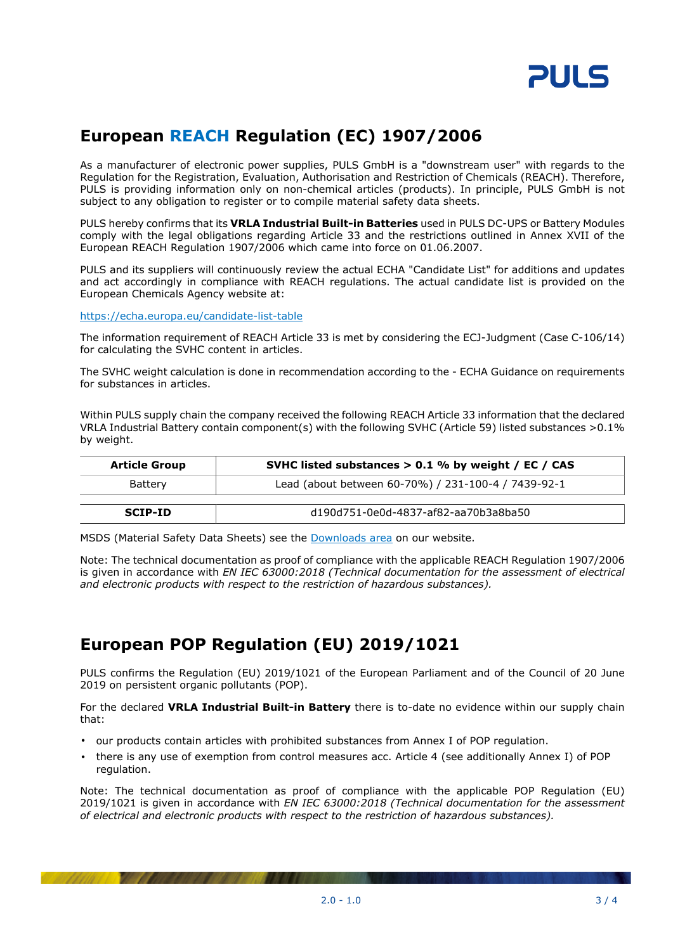

# **European REACH Regulation (EC) 1907/2006**

As a manufacturer of electronic power supplies, PULS GmbH is a "downstream user" with regards to the Regulation for the Registration, Evaluation, Authorisation and Restriction of Chemicals (REACH). Therefore, PULS is providing information only on non-chemical articles (products). In principle, PULS GmbH is not subject to any obligation to register or to compile material safety data sheets.

PULS hereby confirms that its **VRLA Industrial Built-in Batteries** used in PULS DC-UPS or Battery Modules comply with the legal obligations regarding Article 33 and the restrictions outlined in Annex XVII of the European REACH Regulation 1907/2006 which came into force on 01.06.2007.

PULS and its suppliers will continuously review the actual ECHA "Candidate List" for additions and updates and act accordingly in compliance with REACH regulations. The actual candidate list is provided on the European Chemicals Agency website at:

<https://echa.europa.eu/candidate-list-table>

The information requirement of REACH Article 33 is met by considering the ECJ-Judgment (Case C-106/14) for calculating the SVHC content in articles.

The SVHC weight calculation is done in recommendation according to the - ECHA Guidance on requirements for substances in articles.

Within PULS supply chain the company received the following REACH Article 33 information that the declared VRLA Industrial Battery contain component(s) with the following SVHC (Article 59) listed substances >0.1% by weight.

| <b>Article Group</b> | SVHC listed substances $> 0.1$ % by weight / EC / CAS |  |
|----------------------|-------------------------------------------------------|--|
| Battery              | Lead (about between 60-70%) / 231-100-4 / 7439-92-1   |  |
| <b>SCIP-ID</b>       | d190d751-0e0d-4837-af82-aa70b3a8ba50                  |  |

MSDS (Material Safety Data Sheets) see the [Downloads area](https://www.pulspower.com/support/downloads/product-specific-documents/) on our website.

Note: The technical documentation as proof of compliance with the applicable REACH Regulation 1907/2006 is given in accordance with *EN IEC 63000:2018 (Technical documentation for the assessment of electrical and electronic products with respect to the restriction of hazardous substances).*

# **European POP Regulation (EU) 2019/1021**

PULS confirms the Regulation (EU) 2019/1021 of the European Parliament and of the Council of 20 June 2019 on persistent organic pollutants (POP).

For the declared **VRLA Industrial Built-in Battery** there is to-date no evidence within our supply chain that:

- our products contain articles with prohibited substances from Annex I of POP regulation.
- there is any use of exemption from control measures acc. Article 4 (see additionally Annex I) of POP regulation.

Note: The technical documentation as proof of compliance with the applicable POP Regulation (EU) 2019/1021 is given in accordance with *EN IEC 63000:2018 (Technical documentation for the assessment of electrical and electronic products with respect to the restriction of hazardous substances).*